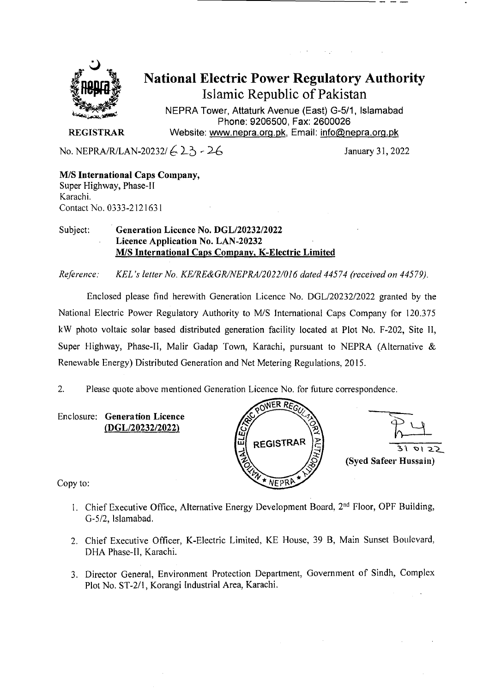

National Electric Power Regulatory Authority Islamic Republic of Pakistan

**NEPRA Tower, Attaturk Avenue (East) G-511, Islamabad Phone: 9206500, Fax: 2600026 REGISTRAR** Website: www.nepra.org.pk, Email: info@nepra.org.pk

No. NEPRA/R/LAN-20232/  $\left(-2, -2, -2\right)$  January 31, 2022

M/S **International** Caps Company, Super Highway, Phase-Il Karachi. Contact No. 0333-212163 1

#### Subject: Generation Licence No. DGL/20232/2022 **Licence Application No.** LAN-20232 MIS International Caps Company, K-Electric Limited

*Reference. KEL 's letter No. KE/RE&GR/NEPRA/2022/016 dated 44574 ('received on 44579).* 

Enclosed please find herewith Generation Licence No. DGL/20232/2022 granted by the National Electric Power Regulatory Authority to M/S International Caps Company for 120.375 kW photo voltaic solar based distributed generation facility located at Plot No. F-202, Site 11, Super Highway, Phase-Il, Malir Gadap Town, Karachi, pursuant to NEPRA (Alternative & Renewable Energy) Distributed Generation and Net Metering Regulations, 2015.

2. Please quote above mentioned Generation Licence No. for future correspondence.

Enclosure: Generation Licence *(DGL12023212022)* 



Copy to:

- 1. Chief Executive Office, Alternative Energy Development Board, 2<sup>nd</sup> Floor, OPF Building, G-5/2, Islamabad.
- 2. Chief Executive Officer, K-Electric Limited, KE House, 39 B, Main Sunset Boulevard, DHA Phase-II, Karachi.
- 3. Director General, Environment Protection Department, Government of Sindh, Complex Plot No. ST-2/l, Korangi Industrial Area, Karachi.